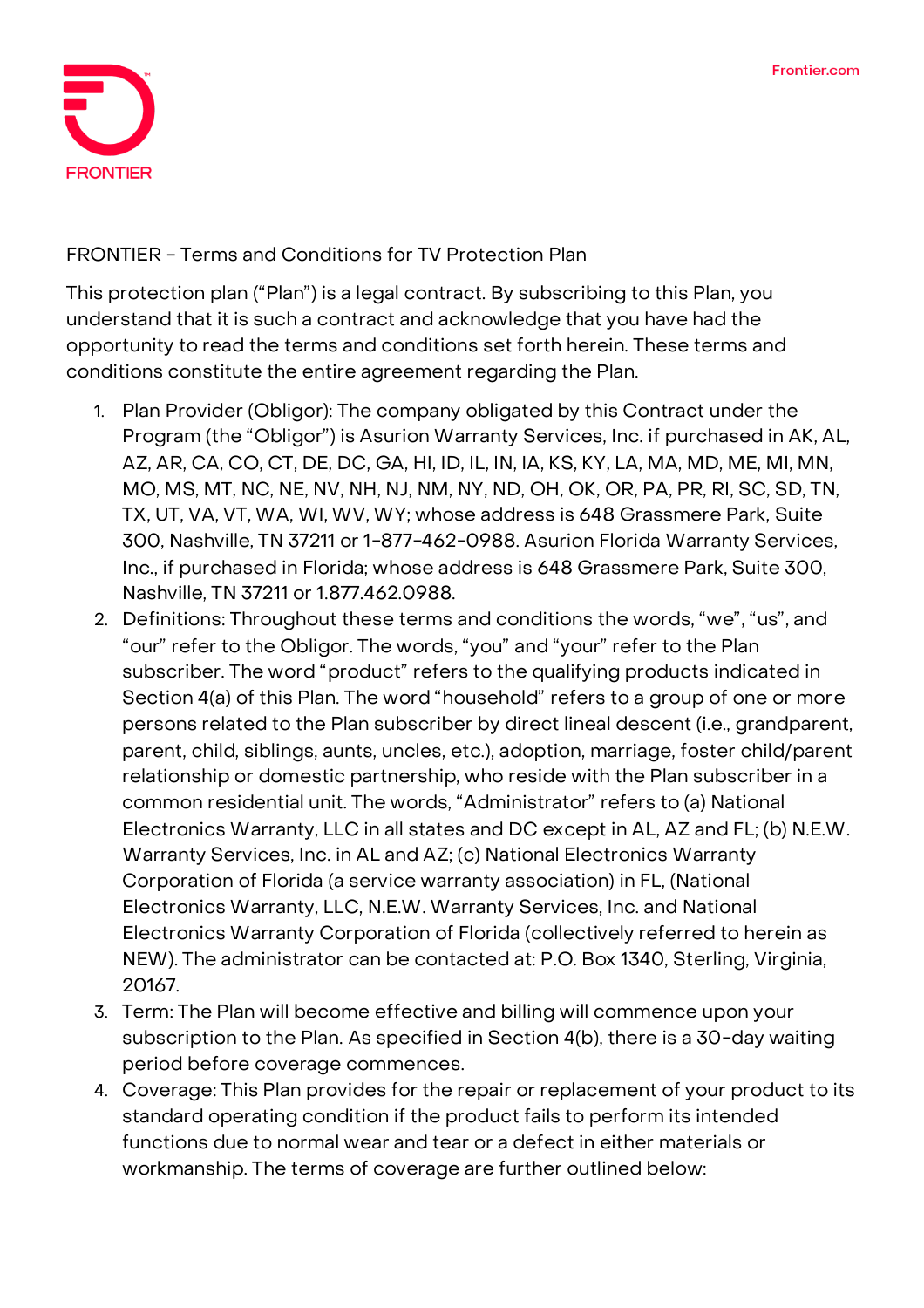

## **FRONTIER - Terms and Conditions for TV Protection Plan**

This protection plan ("Plan") is a legal contract. By subscribing to this Plan, you understand that it is such a contract and acknowledge that you have had the opportunity to read the terms and conditions set forth herein. These terms and conditions constitute the entire agreement regarding the Plan.

- 1. **Plan Provider (Obligor):** The company obligated by this Contract under the Program (the "Obligor") is Asurion Warranty Services, Inc. if purchased in AK, AL, AZ, AR, CA, CO, CT, DE, DC, GA, HI, ID, IL, IN, IA, KS, KY, LA, MA, MD, ME, MI, MN, MO, MS, MT, NC, NE, NV, NH, NJ, NM, NY, ND, OH, OK, OR, PA, PR, RI, SC, SD, TN, TX, UT, VA, VT, WA, WI, WV, WY; whose address is 648 Grassmere Park, Suite 300, Nashville, TN 37211 or 1-877-462-0988. Asurion Florida Warranty Services, Inc., if purchased in Florida; whose address is 648 Grassmere Park, Suite 300, Nashville, TN 37211 or 1.877.462.0988.
- 2. **Definitions:** Throughout these terms and conditions the words, "we", "us", and "our" refer to the Obligor. The words, "you" and "your" refer to the Plan subscriber. The word "product" refers to the qualifying products indicated in Section 4(a) of this Plan. The word "household" refers to a group of one or more persons related to the Plan subscriber by direct lineal descent (i.e., grandparent, parent, child, siblings, aunts, uncles, etc.), adoption, marriage, foster child/parent relationship or domestic partnership, who reside with the Plan subscriber in a common residential unit. The words, "Administrator" refers to (a) National Electronics Warranty, LLC in all states and DC except in AL, AZ and FL; (b) N.E.W. Warranty Services, Inc. in AL and AZ; (c) National Electronics Warranty Corporation of Florida (a service warranty association) in FL, (National Electronics Warranty, LLC, N.E.W. Warranty Services, Inc. and National Electronics Warranty Corporation of Florida (collectively referred to herein as NEW). The administrator can be contacted at: P.O. Box 1340, Sterling, Virginia, 20167.
- 3. **Term:** The Plan will become effective and billing will commence upon your subscription to the Plan. **As specified in Section 4(b), there is a 30-day waiting period before coverage commences.**
- 4. **Coverage:** This Plan provides for the repair or replacement of your product to its standard operating condition if the product fails to perform its intended functions due to normal wear and tear or a defect in either materials or workmanship. The terms of coverage are further outlined below: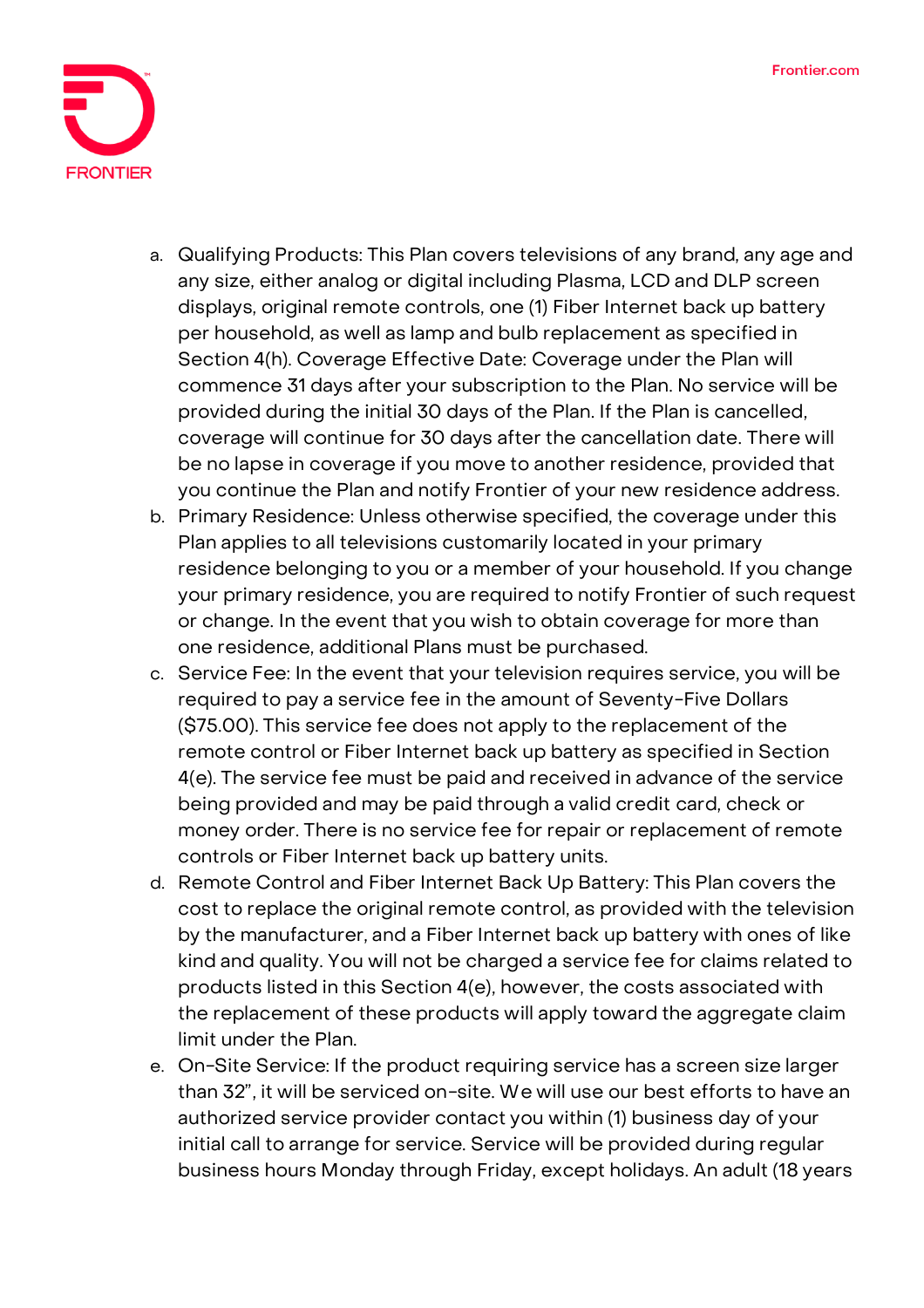

- a. Qualifying Products: This Plan covers televisions of any brand, any age and any size, either analog or digital including Plasma, LCD and DLP screen displays, original remote controls, one (1) Fiber Internet back up battery per household, as well as lamp and bulb replacement as specified in Section 4(h). Coverage Effective Date: **Coverage under the Plan will commence 31 days after your subscription to the Plan. No service will be provided during the initial 30 days of the Plan. If the Plan is cancelled, coverage will continue for 30 days after the cancellation date.** There will be no lapse in coverage if you move to another residence, provided that you continue the Plan and notify Frontier of your new residence address.
- b. Primary Residence: Unless otherwise specified, the coverage under this Plan applies to all televisions customarily located in your primary residence belonging to you or a member of your household. If you change your primary residence, you are required to notify Frontier of such request or change. In the event that you wish to obtain coverage for more than one residence, additional Plans must be purchased.
- c. Service Fee: **In the event that your television requires service, you will be required to pay a service fee in the amount of Seventy-Five Dollars (\$75.00).** This service fee does not apply to the replacement of the remote control or Fiber Internet back up battery as specified in Section 4(e). The service fee must be paid and received in advance of the service being provided and may be paid through a valid credit card, check or money order. There is no service fee for repair or replacement of remote controls or Fiber Internet back up battery units.
- d. Remote Control and Fiber Internet Back Up Battery: This Plan covers the cost to replace the original remote control, as provided with the television by the manufacturer, and a Fiber Internet back up battery with ones of like kind and quality. You will not be charged a service fee for claims related to products listed in this Section 4(e), however, the costs associated with the replacement of these products will apply toward the aggregate claim limit under the Plan.
- e. On-Site Service: If the product requiring service has a screen size larger than 32", it will be serviced on-site. We will use our best efforts to have an authorized service provider contact you within (1) business day of your initial call to arrange for service. Service will be provided during regular business hours Monday through Friday, except holidays. An adult (18 years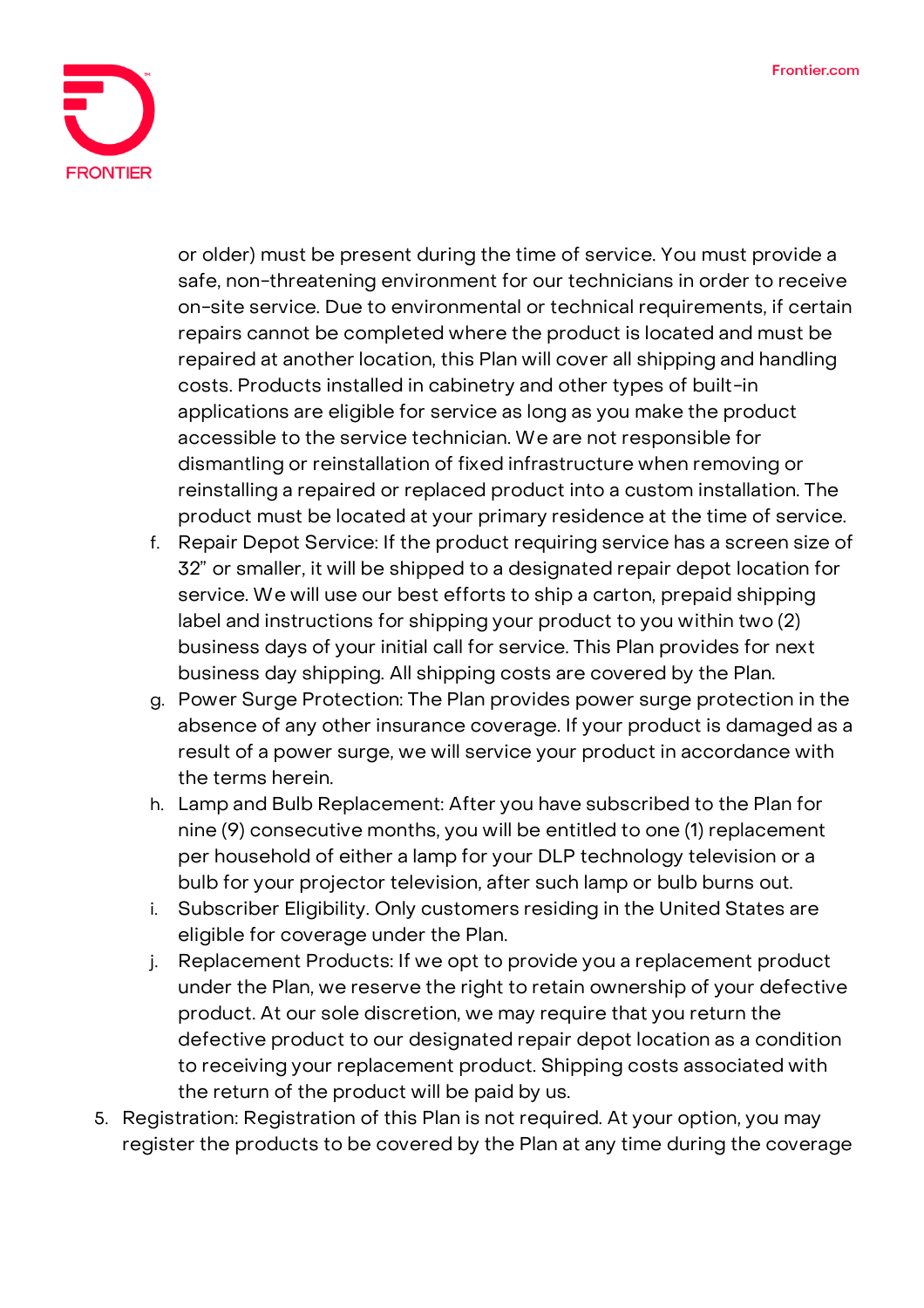

or older) must be present during the time of service. You must provide a safe, non-threatening environment for our technicians in order to receive on-site service. Due to environmental or technical requirements, if certain repairs cannot be completed where the product is located and must be repaired at another location, this Plan will cover all shipping and handling costs. Products installed in cabinetry and other types of built-in applications are eligible for service as long as you make the product accessible to the service technician. We are not responsible for dismantling or reinstallation of fixed infrastructure when removing or reinstalling a repaired or replaced product into a custom installation. The product must be located at your primary residence at the time of service.

- f. Repair Depot Service: If the product requiring service has a screen size of 32" or smaller, it will be shipped to a designated repair depot location for service. We will use our best efforts to ship a carton, prepaid shipping label and instructions for shipping your product to you within two (2) business days of your initial call for service. This Plan provides for next business day shipping. All shipping costs are covered by the Plan.
- g. Power Surge Protection: The Plan provides power surge protection in the absence of any other insurance coverage. If your product is damaged as a result of a power surge, we will service your product in accordance with the terms herein.
- h. Lamp and Bulb Replacement: After you have subscribed to the Plan for nine (9) consecutive months, you will be entitled to one (1) replacement per household of either a lamp for your DLP technology television or a bulb for your projector television, after such lamp or bulb burns out.
- i. Subscriber Eligibility. Only customers residing in the United States are eligible for coverage under the Plan.
- j. Replacement Products: If we opt to provide you a replacement product under the Plan, we reserve the right to retain ownership of your defective product. At our sole discretion, we may require that you return the defective product to our designated repair depot location as a condition to receiving your replacement product. Shipping costs associated with the return of the product will be paid by us.
- 5. **Registration:** Registration of this Plan is not required. At your option, you may register the products to be covered by the Plan at any time during the coverage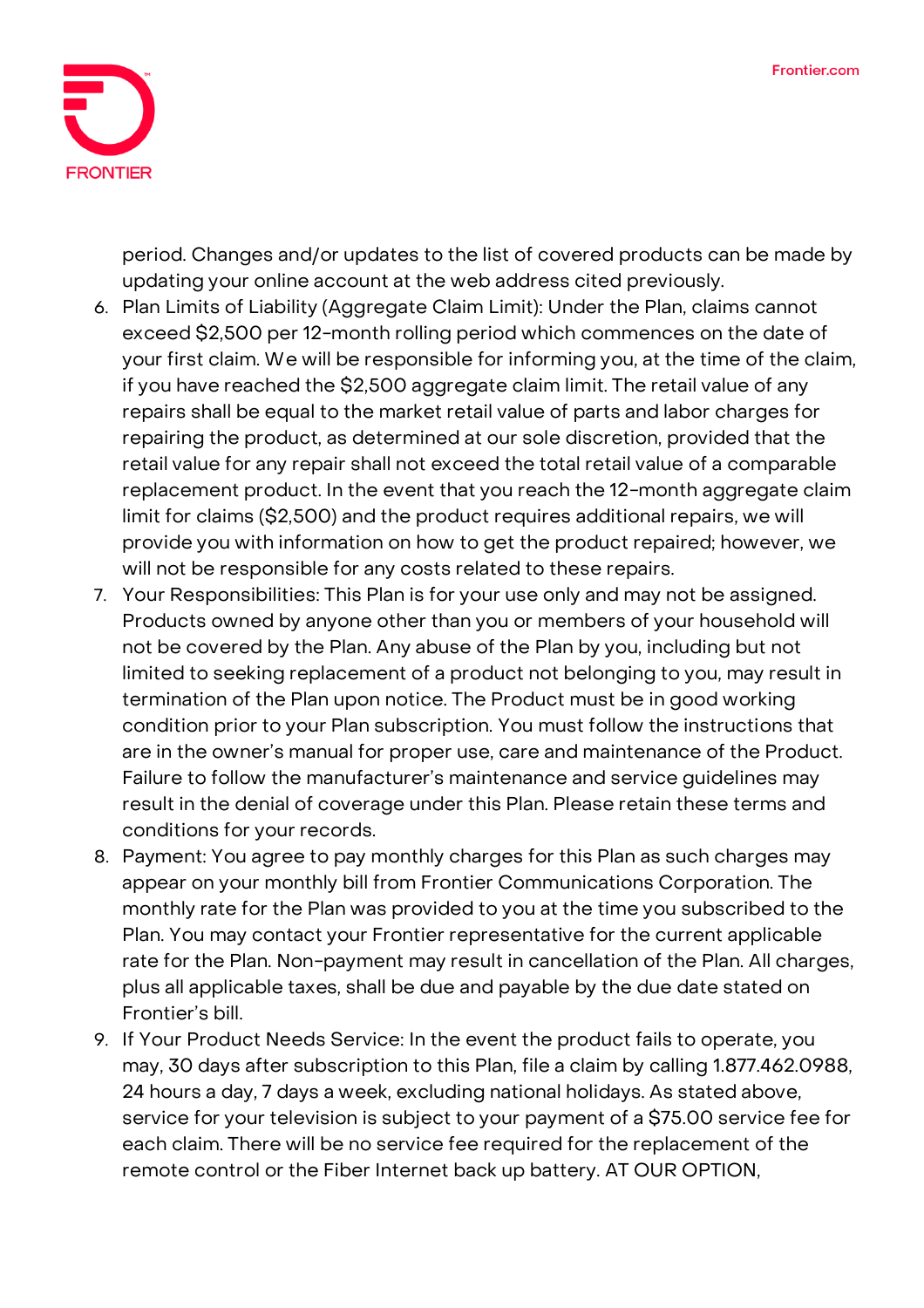

period. Changes and/or updates to the list of covered products can be made by updating your online account at the web address cited previously.

- 6. **Plan Limits of Liability (Aggregate Claim Limit):** Under the Plan, claims cannot exceed \$2,500 per 12-month rolling period which commences on the date of your first claim. We will be responsible for informing you, at the time of the claim, if you have reached the \$2,500 aggregate claim limit. The retail value of any repairs shall be equal to the market retail value of parts and labor charges for repairing the product, as determined at our sole discretion, provided that the retail value for any repair shall not exceed the total retail value of a comparable replacement product. In the event that you reach the 12-month aggregate claim limit for claims (\$2,500) and the product requires additional repairs, we will provide you with information on how to get the product repaired; however, we will not be responsible for any costs related to these repairs.
- 7. **Your Responsibilities:** This Plan is for your use only and may not be assigned. Products owned by anyone other than you or members of your household will not be covered by the Plan. Any abuse of the Plan by you, including but not limited to seeking replacement of a product not belonging to you, may result in termination of the Plan upon notice. The Product must be in good working condition prior to your Plan subscription. You must follow the instructions that are in the owner's manual for proper use, care and maintenance of the Product. Failure to follow the manufacturer's maintenance and service guidelines may result in the denial of coverage under this Plan. Please retain these terms and conditions for your records.
- 8. **Payment:** You agree to pay monthly charges for this Plan as such charges may appear on your monthly bill from Frontier Communications Corporation. The monthly rate for the Plan was provided to you at the time you subscribed to the Plan. You may contact your Frontier representative for the current applicable rate for the Plan. Non-payment may result in cancellation of the Plan. All charges, plus all applicable taxes, shall be due and payable by the due date stated on Frontier's bill.
- 9. **If Your Product Needs Service:** In the event the product fails to operate, you may, 30 days after subscription to this Plan, file a claim by calling 1.877.462.0988, 24 hours a day, 7 days a week, excluding national holidays. As stated above, service for your television is subject to your payment of a \$75.00 service fee for each claim. There will be no service fee required for the replacement of the remote control or the Fiber Internet back up battery. **AT OUR OPTION,**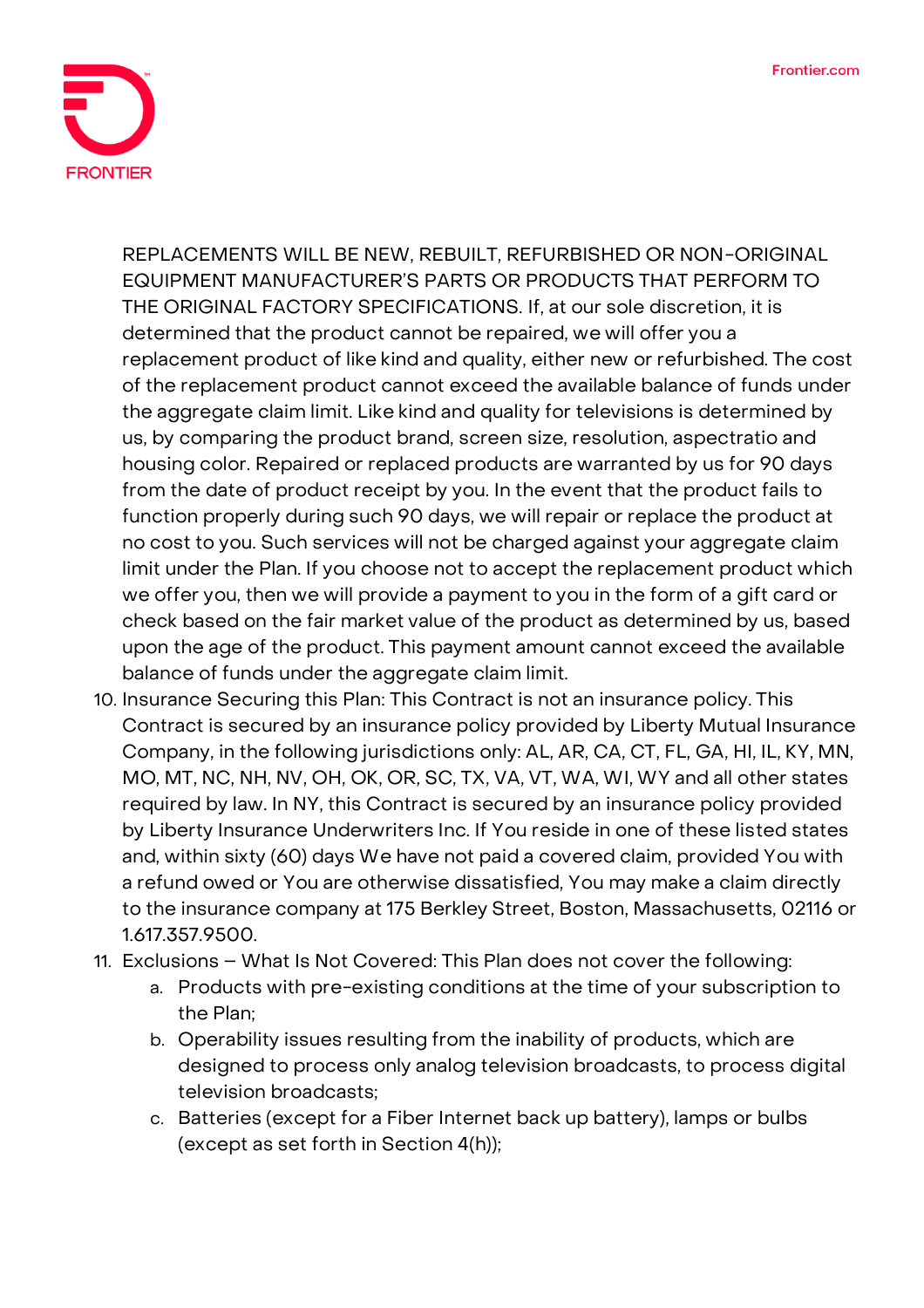

**REPLACEMENTS WILL BE NEW, REBUILT, REFURBISHED OR NON-ORIGINAL EQUIPMENT MANUFACTURER'S PARTS OR PRODUCTS THAT PERFORM TO THE ORIGINAL FACTORY SPECIFICATIONS.** If, at our sole discretion, it is determined that the product cannot be repaired, we will offer you a replacement product of like kind and quality, either new or refurbished. The cost of the replacement product cannot exceed the available balance of funds under the aggregate claim limit. Like kind and quality for televisions is determined by us, by comparing the product brand, screen size, resolution, aspectratio and housing color. Repaired or replaced products are warranted by us for 90 days from the date of product receipt by you. In the event that the product fails to function properly during such 90 days, we will repair or replace the product at no cost to you. Such services will not be charged against your aggregate claim limit under the Plan. If you choose not to accept the replacement product which we offer you, then we will provide a payment to you in the form of a gift card or check based on the fair market value of the product as determined by us, based upon the age of the product. This payment amount cannot exceed the available balance of funds under the aggregate claim limit.

- 10. **Insurance Securing this Plan:** This Contract is not an insurance policy. This Contract is secured by an insurance policy provided by Liberty Mutual Insurance Company, in the following jurisdictions only: AL, AR, CA, CT, FL, GA, HI, IL, KY, MN, MO, MT, NC, NH, NV, OH, OK, OR, SC, TX, VA, VT, WA, WI, WY and all other states required by law. In NY, this Contract is secured by an insurance policy provided by Liberty Insurance Underwriters Inc. If You reside in one of these listed states and, within sixty (60) days We have not paid a covered claim, provided You with a refund owed or You are otherwise dissatisfied, You may make a claim directly to the insurance company at 175 Berkley Street, Boston, Massachusetts, 02116 or 1.617.357.9500.
- 11. **Exclusions – What Is Not Covered:** This Plan does not cover the following:
	- a. Products with pre-existing conditions at the time of your subscription to the Plan;
	- b. Operability issues resulting from the inability of products, which are designed to process only analog television broadcasts, to process digital television broadcasts;
	- c. Batteries (except for a Fiber Internet back up battery), lamps or bulbs (except as set forth in Section 4(h));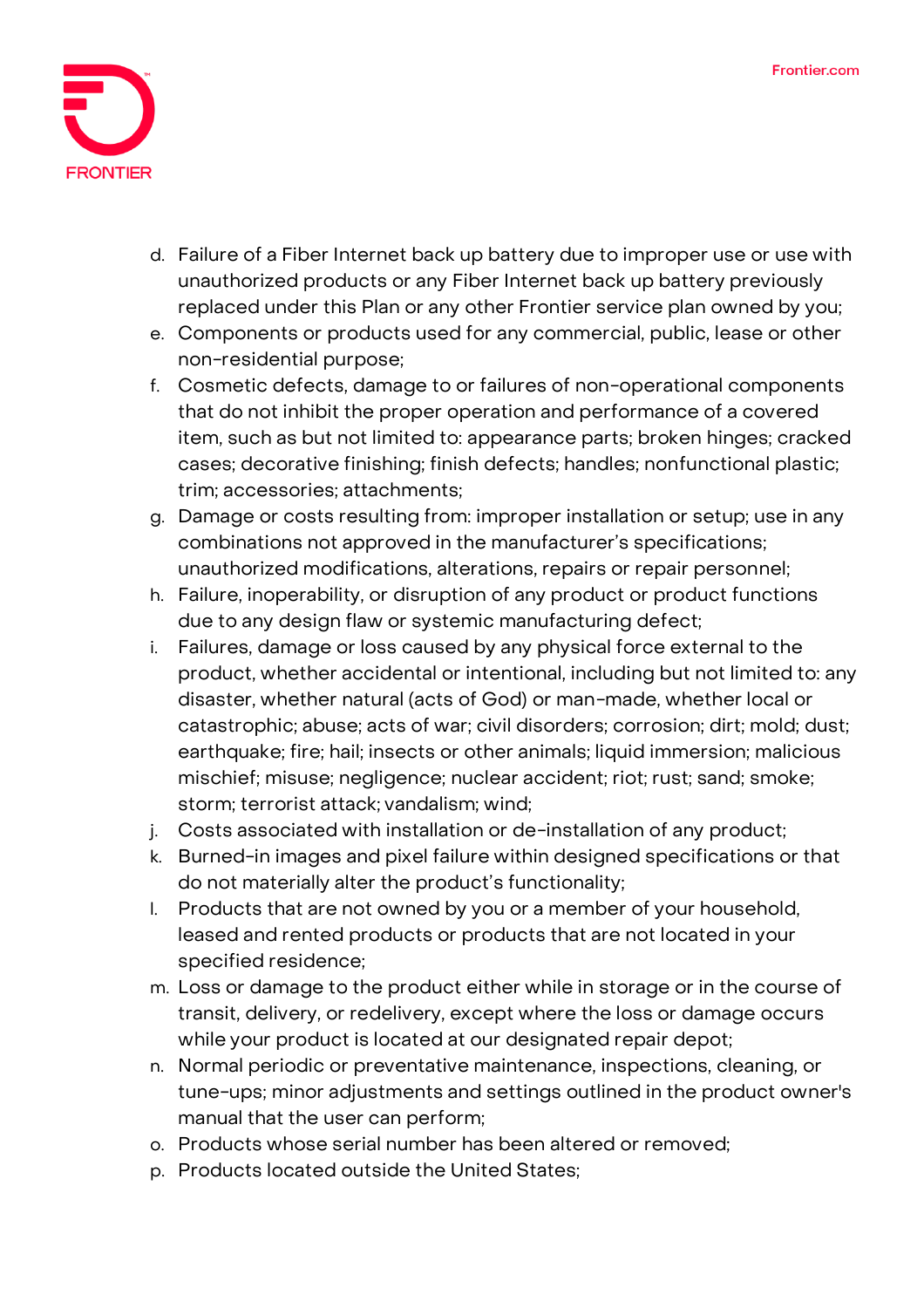

- d. Failure of a Fiber Internet back up battery due to improper use or use with unauthorized products or any Fiber Internet back up battery previously replaced under this Plan or any other Frontier service plan owned by you;
- e. Components or products used for any commercial, public, lease or other non-residential purpose;
- f. Cosmetic defects, damage to or failures of non-operational components that do not inhibit the proper operation and performance of a covered item, such as but not limited to: appearance parts; broken hinges; cracked cases; decorative finishing; finish defects; handles; nonfunctional plastic; trim; accessories; attachments;
- g. Damage or costs resulting from: improper installation or setup; use in any combinations not approved in the manufacturer's specifications; unauthorized modifications, alterations, repairs or repair personnel;
- h. Failure, inoperability, or disruption of any product or product functions due to any design flaw or systemic manufacturing defect;
- i. Failures, damage or loss caused by any physical force external to the product, whether accidental or intentional, including but not limited to: any disaster, whether natural (acts of God) or man-made, whether local or catastrophic; abuse; acts of war; civil disorders; corrosion; dirt; mold; dust; earthquake; fire; hail; insects or other animals; liquid immersion; malicious mischief; misuse; negligence; nuclear accident; riot; rust; sand; smoke; storm; terrorist attack; vandalism; wind;
- j. Costs associated with installation or de-installation of any product;
- k. Burned-in images and pixel failure within designed specifications or that do not materially alter the product's functionality;
- l. Products that are not owned by you or a member of your household, leased and rented products or products that are not located in your specified residence;
- m. Loss or damage to the product either while in storage or in the course of transit, delivery, or redelivery, except where the loss or damage occurs while your product is located at our designated repair depot;
- n. Normal periodic or preventative maintenance, inspections, cleaning, or tune-ups; minor adjustments and settings outlined in the product owner's manual that the user can perform;
- o. Products whose serial number has been altered or removed;
- p. Products located outside the United States;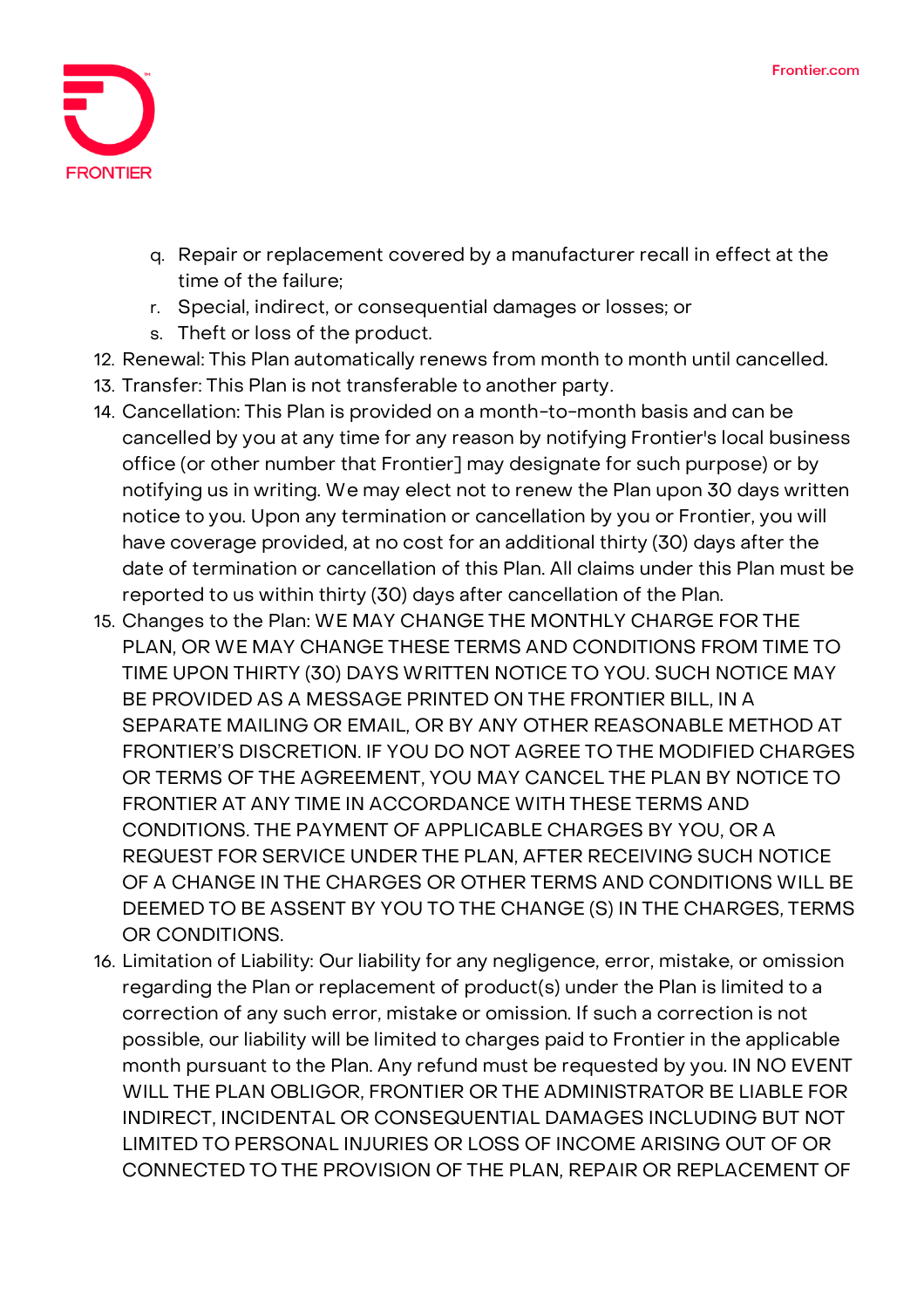

- q. Repair or replacement covered by a manufacturer recall in effect at the time of the failure;
- r. Special, indirect, or consequential damages or losses; or
- s. Theft or loss of the product.
- 12. **Renewal:** This Plan automatically renews from month to month until cancelled.
- 13. **Transfer:** This Plan is not transferable to another party.
- 14. **Cancellation:** This Plan is provided on a month-to-month basis and can be cancelled by you at any time for any reason by notifying Frontier's local business office (or other number that Frontier] may designate for such purpose) or by notifying us in writing. We may elect not to renew the Plan upon 30 days written notice to you. Upon any termination or cancellation by you or Frontier, you will have coverage provided, at no cost for an additional thirty (30) days after the date of termination or cancellation of this Plan. All claims under this Plan must be reported to us within thirty (30) days after cancellation of the Plan.
- 15. **Changes to the Plan:** WE MAY CHANGE THE MONTHLY CHARGE FOR THE PLAN, OR WE MAY CHANGE THESE TERMS AND CONDITIONS FROM TIME TO TIME UPON THIRTY (30) DAYS WRITTEN NOTICE TO YOU. SUCH NOTICE MAY BE PROVIDED AS A MESSAGE PRINTED ON THE FRONTIER BILL, IN A SEPARATE MAILING OR EMAIL, OR BY ANY OTHER REASONABLE METHOD AT FRONTIER'S DISCRETION. IF YOU DO NOT AGREE TO THE MODIFIED CHARGES OR TERMS OF THE AGREEMENT, YOU MAY CANCEL THE PLAN BY NOTICE TO FRONTIER AT ANY TIME IN ACCORDANCE WITH THESE TERMS AND CONDITIONS. THE PAYMENT OF APPLICABLE CHARGES BY YOU, OR A REQUEST FOR SERVICE UNDER THE PLAN, AFTER RECEIVING SUCH NOTICE OF A CHANGE IN THE CHARGES OR OTHER TERMS AND CONDITIONS WILL BE DEEMED TO BE ASSENT BY YOU TO THE CHANGE (S) IN THE CHARGES, TERMS OR CONDITIONS.
- 16. **Limitation of Liability:** Our liability for any negligence, error, mistake, or omission regarding the Plan or replacement of product(s) under the Plan is limited to a correction of any such error, mistake or omission. If such a correction is not possible, our liability will be limited to charges paid to Frontier in the applicable month pursuant to the Plan. Any refund must be requested by you. IN NO EVENT WILL THE PLAN OBLIGOR, FRONTIER OR THE ADMINISTRATOR BE LIABLE FOR INDIRECT, INCIDENTAL OR CONSEQUENTIAL DAMAGES INCLUDING BUT NOT LIMITED TO PERSONAL INJURIES OR LOSS OF INCOME ARISING OUT OF OR CONNECTED TO THE PROVISION OF THE PLAN, REPAIR OR REPLACEMENT OF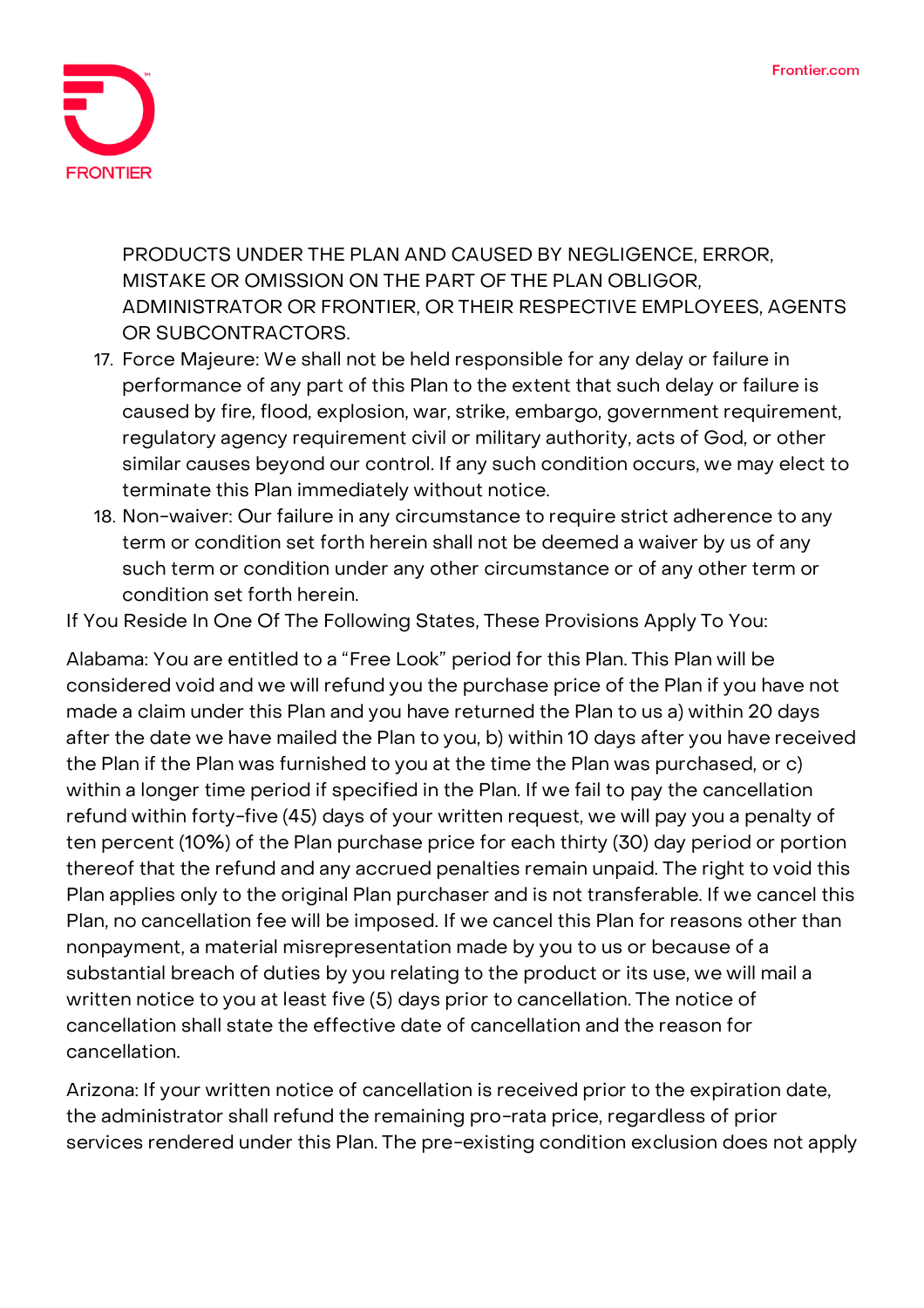

PRODUCTS UNDER THE PLAN AND CAUSED BY NEGLIGENCE, ERROR, MISTAKE OR OMISSION ON THE PART OF THE PLAN OBLIGOR, ADMINISTRATOR OR FRONTIER, OR THEIR RESPECTIVE EMPLOYEES, AGENTS OR SUBCONTRACTORS.

- 17. **Force Majeure:** We shall not be held responsible for any delay or failure in performance of any part of this Plan to the extent that such delay or failure is caused by fire, flood, explosion, war, strike, embargo, government requirement, regulatory agency requirement civil or military authority, acts of God, or other similar causes beyond our control. If any such condition occurs, we may elect to terminate this Plan immediately without notice.
- 18. **Non-waiver:** Our failure in any circumstance to require strict adherence to any term or condition set forth herein shall not be deemed a waiver by us of any such term or condition under any other circumstance or of any other term or condition set forth herein.

**If You Reside In One Of The Following States, These Provisions Apply To You:**

**Alabama:** You are entitled to a "Free Look" period for this Plan. This Plan will be considered void and we will refund you the purchase price of the Plan if you have not made a claim under this Plan and you have returned the Plan to us a) within 20 days after the date we have mailed the Plan to you, b) within 10 days after you have received the Plan if the Plan was furnished to you at the time the Plan was purchased, or c) within a longer time period if specified in the Plan. If we fail to pay the cancellation refund within forty-five (45) days of your written request, we will pay you a penalty of ten percent (10%) of the Plan purchase price for each thirty (30) day period or portion thereof that the refund and any accrued penalties remain unpaid. The right to void this Plan applies only to the original Plan purchaser and is not transferable. If we cancel this Plan, no cancellation fee will be imposed. If we cancel this Plan for reasons other than nonpayment, a material misrepresentation made by you to us or because of a substantial breach of duties by you relating to the product or its use, we will mail a written notice to you at least five (5) days prior to cancellation. The notice of cancellation shall state the effective date of cancellation and the reason for cancellation.

**Arizona:** If your written notice of cancellation is received prior to the expiration date, the administrator shall refund the remaining pro-rata price, regardless of prior services rendered under this Plan. The pre-existing condition exclusion does not apply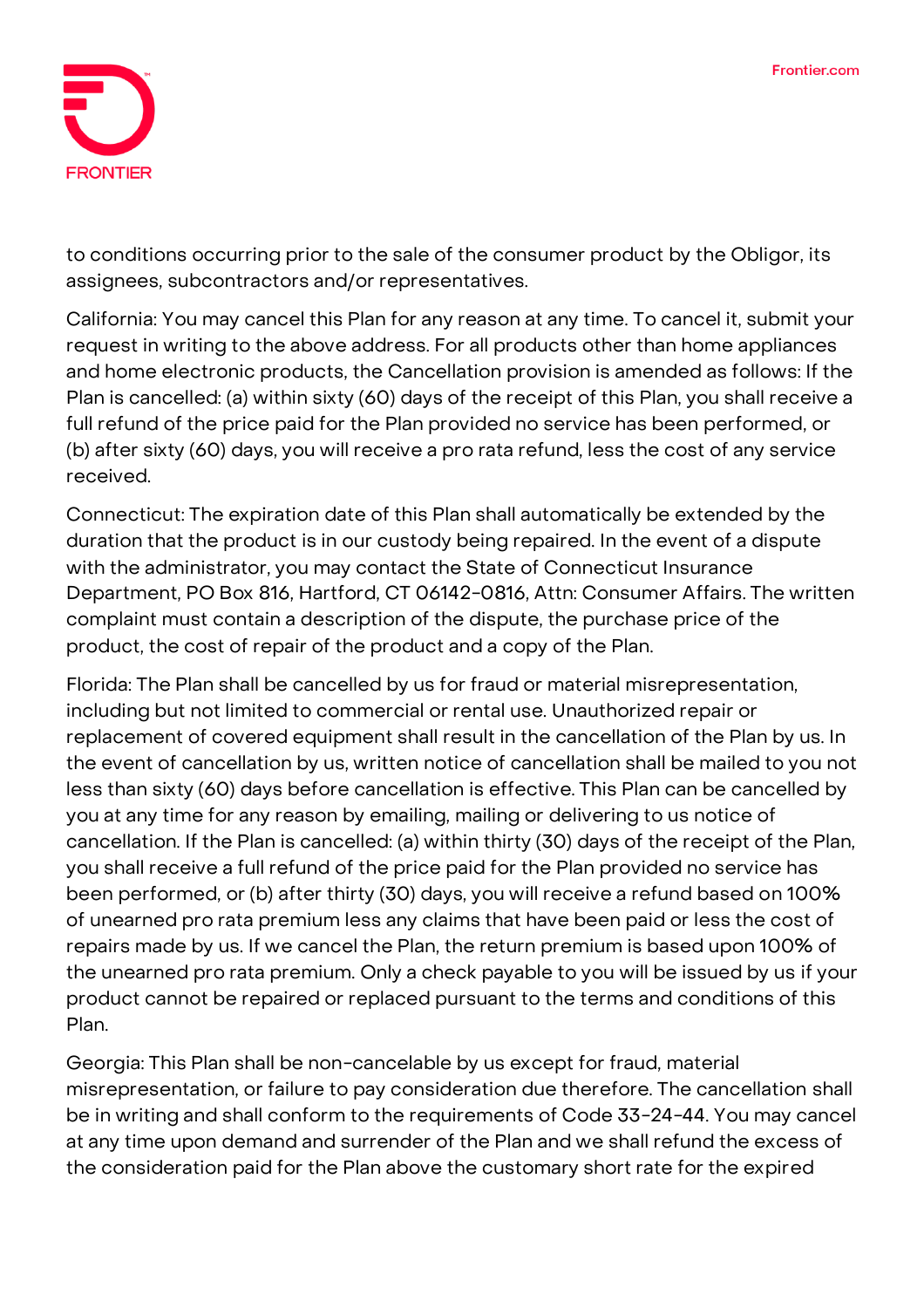

to conditions occurring prior to the sale of the consumer product by the Obligor, its assignees, subcontractors and/or representatives.

**California:** You may cancel this Plan for any reason at any time. To cancel it, submit your request in writing to the above address. For all products other than home appliances and home electronic products, the Cancellation provision is amended as follows: If the Plan is cancelled: (a) within sixty (60) days of the receipt of this Plan, you shall receive a full refund of the price paid for the Plan provided no service has been performed, or (b) after sixty (60) days, you will receive a pro rata refund, less the cost of any service received.

**Connecticut:** The expiration date of this Plan shall automatically be extended by the duration that the product is in our custody being repaired. In the event of a dispute with the administrator, you may contact the State of Connecticut Insurance Department, PO Box 816, Hartford, CT 06142-0816, Attn: Consumer Affairs. The written complaint must contain a description of the dispute, the purchase price of the product, the cost of repair of the product and a copy of the Plan.

**Florida:** The Plan shall be cancelled by us for fraud or material misrepresentation, including but not limited to commercial or rental use. Unauthorized repair or replacement of covered equipment shall result in the cancellation of the Plan by us. In the event of cancellation by us, written notice of cancellation shall be mailed to you not less than sixty (60) days before cancellation is effective. This Plan can be cancelled by you at any time for any reason by emailing, mailing or delivering to us notice of cancellation. If the Plan is cancelled: (a) within thirty (30) days of the receipt of the Plan, you shall receive a full refund of the price paid for the Plan provided no service has been performed, or (b) after thirty (30) days, you will receive a refund based on 100% of unearned pro rata premium less any claims that have been paid or less the cost of repairs made by us. If we cancel the Plan, the return premium is based upon 100% of the unearned pro rata premium. Only a check payable to you will be issued by us if your product cannot be repaired or replaced pursuant to the terms and conditions of this Plan.

**Georgia:** This Plan shall be non-cancelable by us except for fraud, material misrepresentation, or failure to pay consideration due therefore. The cancellation shall be in writing and shall conform to the requirements of Code 33-24-44. You may cancel at any time upon demand and surrender of the Plan and we shall refund the excess of the consideration paid for the Plan above the customary short rate for the expired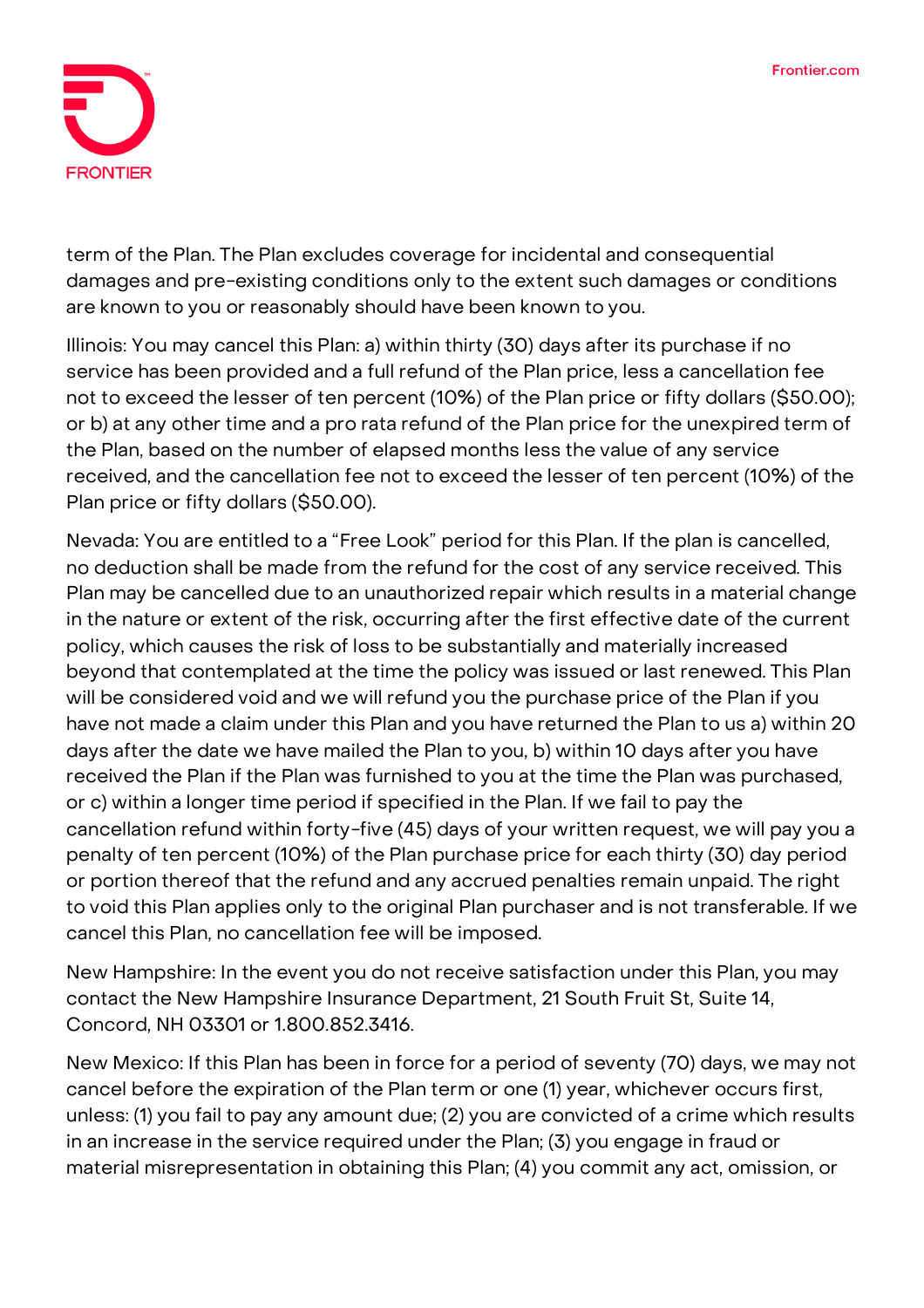

term of the Plan. The Plan excludes coverage for incidental and consequential damages and pre-existing conditions only to the extent such damages or conditions are known to you or reasonably should have been known to you.

**Illinois:** You may cancel this Plan: a) within thirty (30) days after its purchase if no service has been provided and a full refund of the Plan price, less a cancellation fee not to exceed the lesser of ten percent (10%) of the Plan price or fifty dollars (\$50.00); or b) at any other time and a pro rata refund of the Plan price for the unexpired term of the Plan, based on the number of elapsed months less the value of any service received, and the cancellation fee not to exceed the lesser of ten percent (10%) of the Plan price or fifty dollars (\$50.00).

**Nevada:** You are entitled to a "Free Look" period for this Plan. If the plan is cancelled, no deduction shall be made from the refund for the cost of any service received. This Plan may be cancelled due to an unauthorized repair which results in a material change in the nature or extent of the risk, occurring after the first effective date of the current policy, which causes the risk of loss to be substantially and materially increased beyond that contemplated at the time the policy was issued or last renewed. This Plan will be considered void and we will refund you the purchase price of the Plan if you have not made a claim under this Plan and you have returned the Plan to us a) within 20 days after the date we have mailed the Plan to you, b) within 10 days after you have received the Plan if the Plan was furnished to you at the time the Plan was purchased, or c) within a longer time period if specified in the Plan. If we fail to pay the cancellation refund within forty-five (45) days of your written request, we will pay you a penalty of ten percent (10%) of the Plan purchase price for each thirty (30) day period or portion thereof that the refund and any accrued penalties remain unpaid. The right to void this Plan applies only to the original Plan purchaser and is not transferable. If we cancel this Plan, no cancellation fee will be imposed.

**New Hampshire:** In the event you do not receive satisfaction under this Plan, you may contact the New Hampshire Insurance Department, 21 South Fruit St, Suite 14, Concord, NH 03301 or 1.800.852.3416.

**New Mexico:** If this Plan has been in force for a period of seventy (70) days, we may not cancel before the expiration of the Plan term or one (1) year, whichever occurs first, unless: (1) you fail to pay any amount due; (2) you are convicted of a crime which results in an increase in the service required under the Plan; (3) you engage in fraud or material misrepresentation in obtaining this Plan; (4) you commit any act, omission, or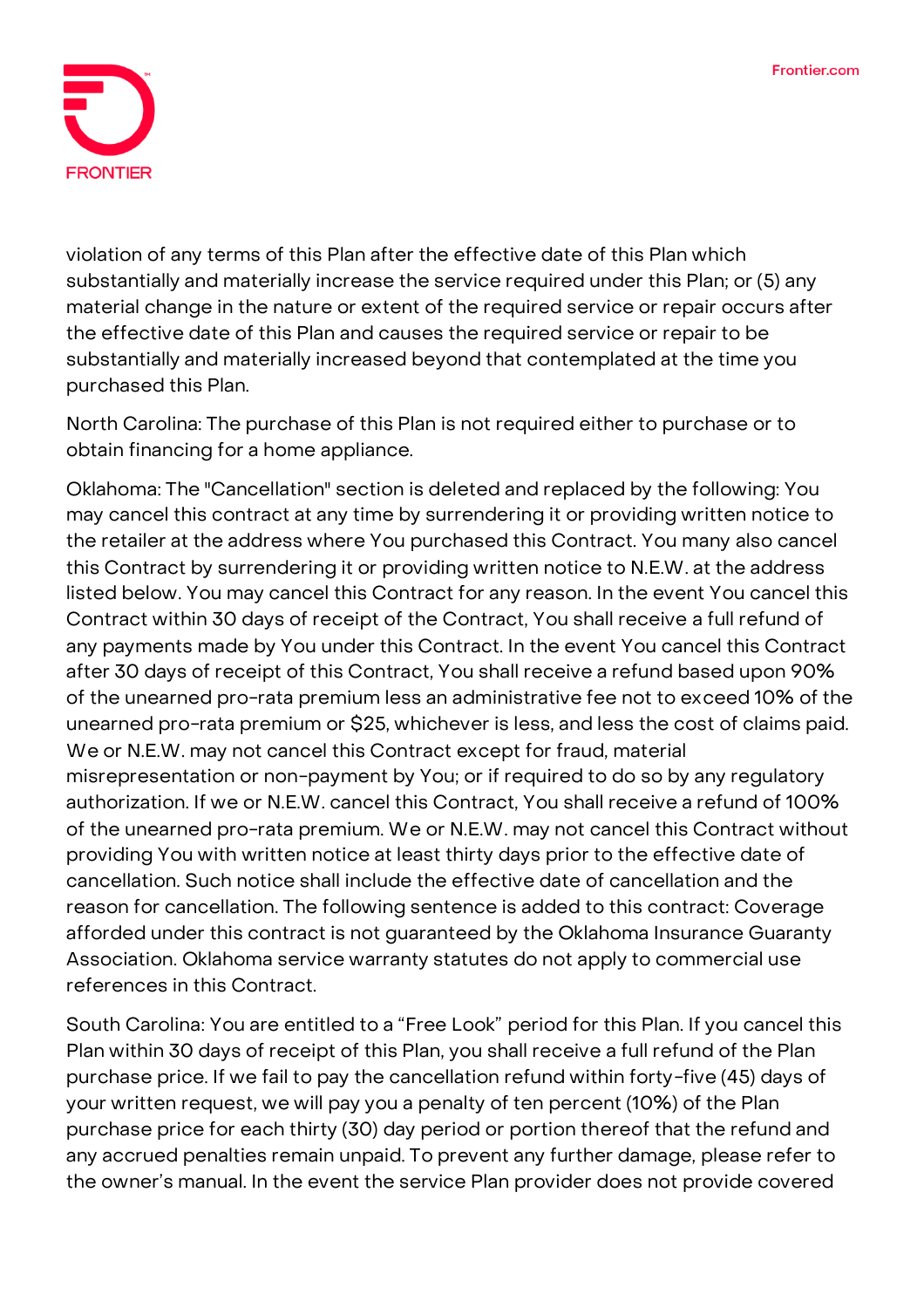

violation of any terms of this Plan after the effective date of this Plan which substantially and materially increase the service required under this Plan; or (5) any material change in the nature or extent of the required service or repair occurs after the effective date of this Plan and causes the required service or repair to be substantially and materially increased beyond that contemplated at the time you purchased this Plan.

**North Carolina:** The purchase of this Plan is not required either to purchase or to obtain financing for a home appliance.

**Oklahoma:** The "Cancellation" section is deleted and replaced by the following: You may cancel this contract at any time by surrendering it or providing written notice to the retailer at the address where You purchased this Contract. You many also cancel this Contract by surrendering it or providing written notice to N.E.W. at the address listed below. You may cancel this Contract for any reason. In the event You cancel this Contract within 30 days of receipt of the Contract, You shall receive a full refund of any payments made by You under this Contract. In the event You cancel this Contract after 30 days of receipt of this Contract, You shall receive a refund based upon 90% of the unearned pro-rata premium less an administrative fee not to exceed 10% of the unearned pro-rata premium or \$25, whichever is less, and less the cost of claims paid. We or N.E.W. may not cancel this Contract except for fraud, material misrepresentation or non-payment by You; or if required to do so by any regulatory authorization. If we or N.E.W. cancel this Contract, You shall receive a refund of 100% of the unearned pro-rata premium. We or N.E.W. may not cancel this Contract without providing You with written notice at least thirty days prior to the effective date of cancellation. Such notice shall include the effective date of cancellation and the reason for cancellation. The following sentence is added to this contract: Coverage afforded under this contract is not guaranteed by the Oklahoma Insurance Guaranty Association. Oklahoma service warranty statutes do not apply to commercial use references in this Contract.

**South Carolina:** You are entitled to a "Free Look" period for this Plan. If you cancel this Plan within 30 days of receipt of this Plan, you shall receive a full refund of the Plan purchase price. If we fail to pay the cancellation refund within forty-five (45) days of your written request, we will pay you a penalty of ten percent (10%) of the Plan purchase price for each thirty (30) day period or portion thereof that the refund and any accrued penalties remain unpaid. To prevent any further damage, please refer to the owner's manual. In the event the service Plan provider does not provide covered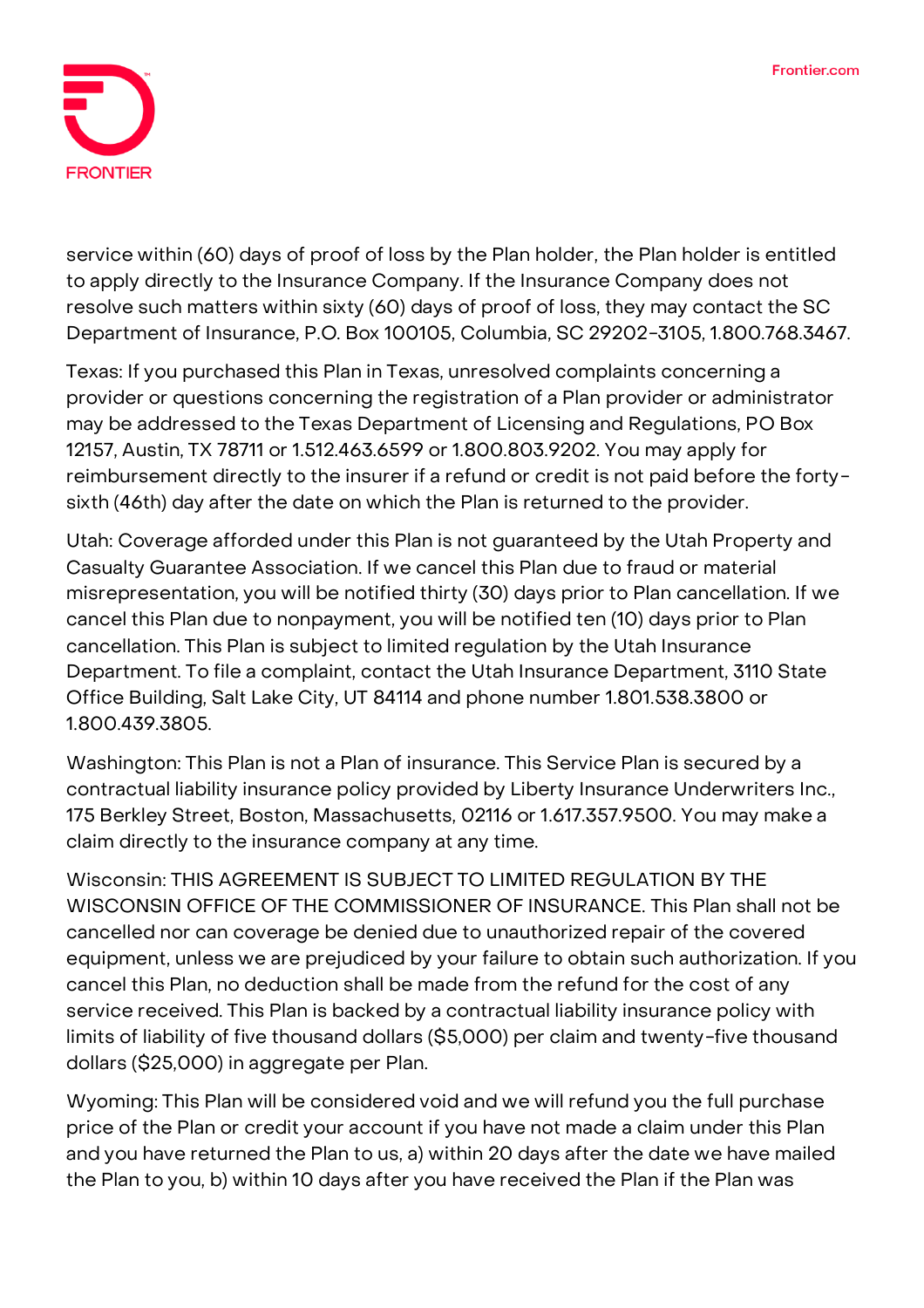

service within (60) days of proof of loss by the Plan holder, the Plan holder is entitled to apply directly to the Insurance Company. If the Insurance Company does not resolve such matters within sixty (60) days of proof of loss, they may contact the SC Department of Insurance, P.O. Box 100105, Columbia, SC 29202-3105, 1.800.768.3467.

**Texas:** If you purchased this Plan in Texas, unresolved complaints concerning a provider or questions concerning the registration of a Plan provider or administrator may be addressed to the Texas Department of Licensing and Regulations, PO Box 12157, Austin, TX 78711 or 1.512.463.6599 or 1.800.803.9202. You may apply for reimbursement directly to the insurer if a refund or credit is not paid before the fortysixth (46th) day after the date on which the Plan is returned to the provider.

**Utah:** Coverage afforded under this Plan is not guaranteed by the Utah Property and Casualty Guarantee Association. If we cancel this Plan due to fraud or material misrepresentation, you will be notified thirty (30) days prior to Plan cancellation. If we cancel this Plan due to nonpayment, you will be notified ten (10) days prior to Plan cancellation. This Plan is subject to limited regulation by the Utah Insurance Department. To file a complaint, contact the Utah Insurance Department, 3110 State Office Building, Salt Lake City, UT 84114 and phone number 1.801.538.3800 or 1.800.439.3805.

**Washington:** This Plan is not a Plan of insurance. This Service Plan is secured by a contractual liability insurance policy provided by Liberty Insurance Underwriters Inc., 175 Berkley Street, Boston, Massachusetts, 02116 or 1.617.357.9500. You may make a claim directly to the insurance company at any time.

**Wisconsin: THIS AGREEMENT IS SUBJECT TO LIMITED REGULATION BY THE WISCONSIN OFFICE OF THE COMMISSIONER OF INSURANCE.** This Plan shall not be cancelled nor can coverage be denied due to unauthorized repair of the covered equipment, unless we are prejudiced by your failure to obtain such authorization. If you cancel this Plan, no deduction shall be made from the refund for the cost of any service received. This Plan is backed by a contractual liability insurance policy with limits of liability of five thousand dollars (\$5,000) per claim and twenty-five thousand dollars (\$25,000) in aggregate per Plan.

**Wyoming:** This Plan will be considered void and we will refund you the full purchase price of the Plan or credit your account if you have not made a claim under this Plan and you have returned the Plan to us, a) within 20 days after the date we have mailed the Plan to you, b) within 10 days after you have received the Plan if the Plan was